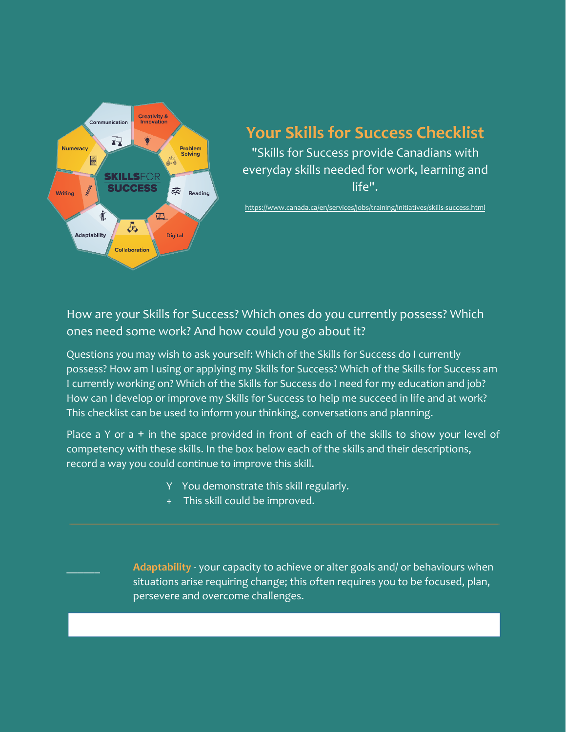

## **Your Skills for Success Checklist**

"Skills for Success provide Canadians with everyday skills needed for work, learning and life".

<https://www.canada.ca/en/services/jobs/training/initiatives/skills-success.html>

## How are your Skills for Success? Which ones do you currently possess? Which ones need some work? And how could you go about it?

Questions you may wish to ask yourself: Which of the Skills for Success do I currently possess? How am I using or applying my Skills for Success? Which of the Skills for Success am I currently working on? Which of the Skills for Success do I need for my education and job? How can I develop or improve my Skills for Success to help me succeed in life and at work? This checklist can be used to inform your thinking, conversations and planning.

Place a Y or  $a + in$  the space provided in front of each of the skills to show your level of competency with these skills. In the box below each of the skills and their descriptions, record a way you could continue to improve this skill.

- Y You demonstrate this skill regularly.
- This skill could be improved.

Adaptability - your capacity to achieve or alter goals and/ or behaviours when situations arise requiring change; this often requires you to be focused, plan, persevere and overcome challenges.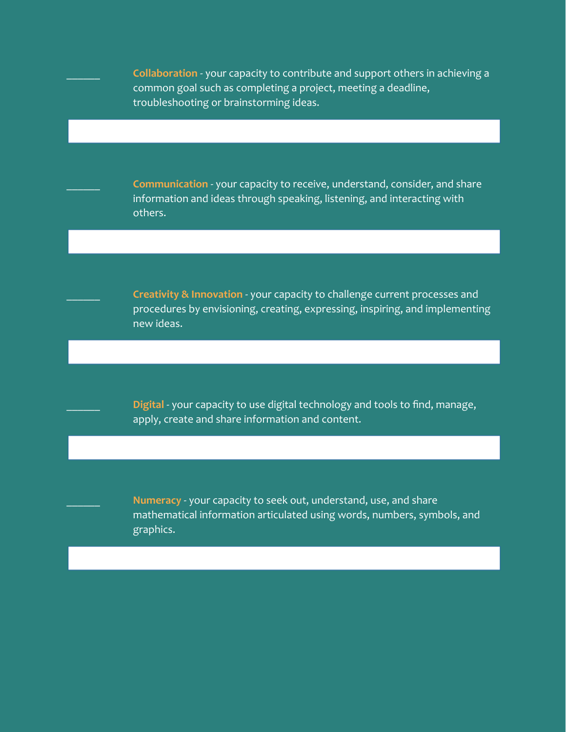\_\_\_\_\_\_ **Collaboration** - your capacity to contribute and support others in achieving a common goal such as completing a project, meeting a deadline, troubleshooting or brainstorming ideas.

\_\_\_\_\_\_ **Communication** - your capacity to receive, understand, consider, and share information and ideas through speaking, listening, and interacting with others.

\_\_\_\_\_\_ **Creativity & Innovation** - your capacity to challenge current processes and procedures by envisioning, creating, expressing, inspiring, and implementing new ideas.

Digital - your capacity to use digital technology and tools to find, manage, apply, create and share information and content.

\_\_\_\_\_\_ **Numeracy** - your capacity to seek out, understand, use, and share mathematical information articulated using words, numbers, symbols, and graphics.